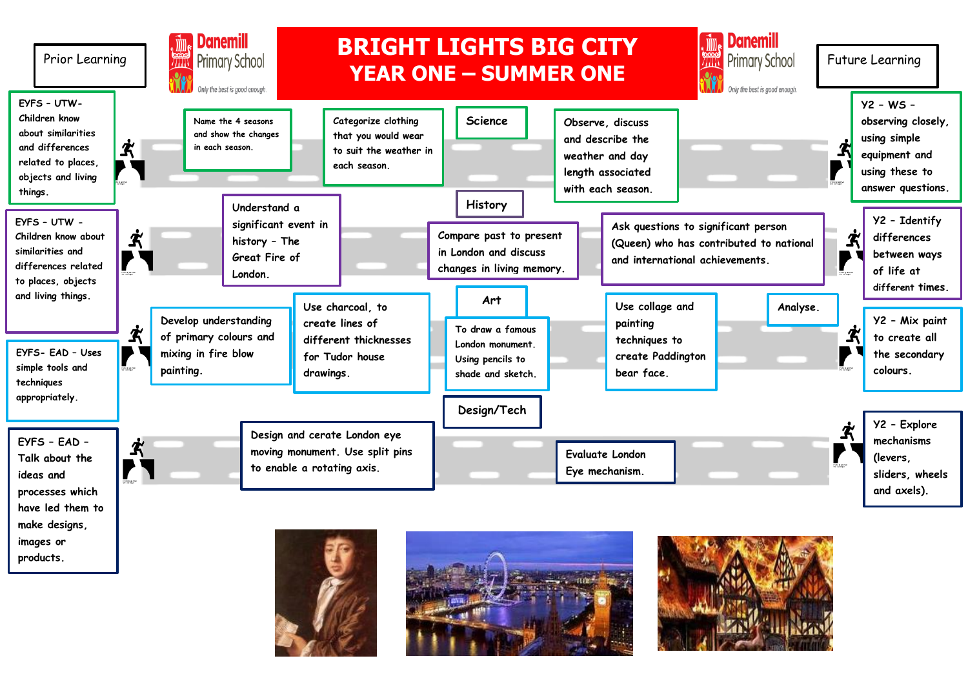